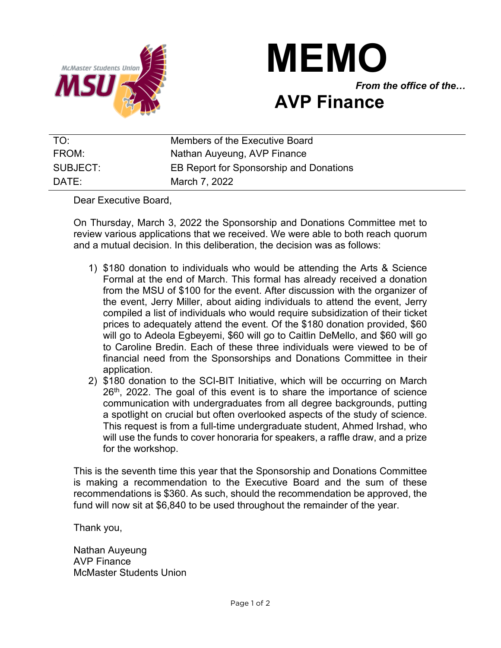



## **AVP Finance**

| TO:      | Members of the Executive Board          |
|----------|-----------------------------------------|
| FROM:    | Nathan Auyeung, AVP Finance             |
| SUBJECT: | EB Report for Sponsorship and Donations |
| $DATF^+$ | March 7, 2022                           |

Dear Executive Board,

On Thursday, March 3, 2022 the Sponsorship and Donations Committee met to review various applications that we received. We were able to both reach quorum and a mutual decision. In this deliberation, the decision was as follows:

- 1) \$180 donation to individuals who would be attending the Arts & Science Formal at the end of March. This formal has already received a donation from the MSU of \$100 for the event. After discussion with the organizer of the event, Jerry Miller, about aiding individuals to attend the event, Jerry compiled a list of individuals who would require subsidization of their ticket prices to adequately attend the event. Of the \$180 donation provided, \$60 will go to Adeola Egbeyemi, \$60 will go to Caitlin DeMello, and \$60 will go to Caroline Bredin. Each of these three individuals were viewed to be of financial need from the Sponsorships and Donations Committee in their application.
- 2) \$180 donation to the SCI-BIT Initiative, which will be occurring on March 26<sup>th</sup>, 2022. The goal of this event is to share the importance of science communication with undergraduates from all degree backgrounds, putting a spotlight on crucial but often overlooked aspects of the study of science. This request is from a full-time undergraduate student, Ahmed Irshad, who will use the funds to cover honoraria for speakers, a raffle draw, and a prize for the workshop.

This is the seventh time this year that the Sponsorship and Donations Committee is making a recommendation to the Executive Board and the sum of these recommendations is \$360. As such, should the recommendation be approved, the fund will now sit at \$6,840 to be used throughout the remainder of the year.

Thank you,

Nathan Auyeung AVP Finance McMaster Students Union